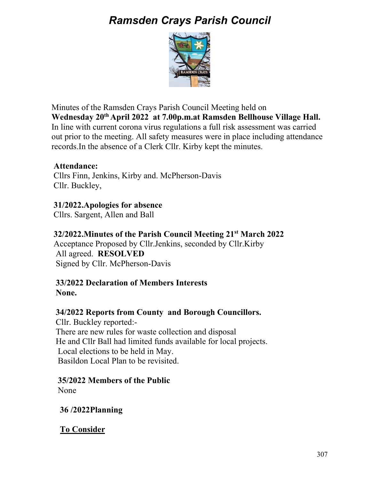# *Ramsden Crays Parish Council*



Minutes of the Ramsden Crays Parish Council Meeting held on **Wednesday 20th April 2022 at 7.00p.m.at Ramsden Bellhouse Village Hall.**  In line with current corona virus regulations a full risk assessment was carried out prior to the meeting. All safety measures were in place including attendance records.In the absence of a Clerk Cllr. Kirby kept the minutes.

#### **Attendance:**

 Cllrs Finn, Jenkins, Kirby and. McPherson-Davis Cllr. Buckley,

 **31/2022.Apologies for absence**  Cllrs. Sargent, Allen and Ball

#### **32/2022.Minutes of the Parish Council Meeting 21st March 2022**

Acceptance Proposed by Cllr.Jenkins, seconded by Cllr.Kirby All agreed. **RESOLVED**  Signed by Cllr. McPherson-Davis

#### **33/2022 Declaration of Members Interests None.**

### **34/2022 Reports from County and Borough Councillors.**

 Cllr. Buckley reported:- There are new rules for waste collection and disposal He and Cllr Ball had limited funds available for local projects. Local elections to be held in May. Basildon Local Plan to be revisited.

### **35/2022 Members of the Public**

None

 **36 /2022Planning** 

 **To Consider**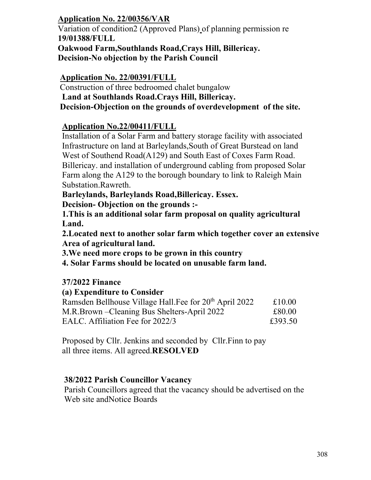## **Application No. 22/00356/VAR**

 Variation of condition2 (Approved Plans) of planning permission re **19/01388/FULL Oakwood Farm,Southlands Road,Crays Hill, Billericay. Decision-No objection by the Parish Council** 

### **Application No. 22/00391/FULL**

Construction of three bedroomed chalet bungalow **Land at Southlands Road.Crays Hill, Billericay. Decision-Objection on the grounds of overdevelopment of the site.** 

# **Application No.22/00411/FULL**

 Installation of a Solar Farm and battery storage facility with associated Infrastructure on land at Barleylands,South of Great Burstead on land West of Southend Road(A129) and South East of Coxes Farm Road. Billericay. and installation of underground cabling from proposed Solar Farm along the A129 to the borough boundary to link to Raleigh Main Substation.Rawreth.

**Barleylands, Barleylands Road,Billericay. Essex.** 

 **Decision- Objection on the grounds :-** 

 **1.This is an additional solar farm proposal on quality agricultural Land.** 

 **2.Located next to another solar farm which together cover an extensive Area of agricultural land.** 

 **3.We need more crops to be grown in this country** 

 **4. Solar Farms should be located on unusable farm land.** 

### **37/2022 Finance**

 **(a) Expenditure to Consider**  Ramsden Bellhouse Village Hall. Fee for  $20<sup>th</sup>$  April 2022  $\qquad$  £10.00 M.R.Brown – Cleaning Bus Shelters-April 2022 £80.00 EALC. Affiliation Fee for 2022/3 £393.50

 Proposed by Cllr. Jenkins and seconded by Cllr.Finn to pay all three items. All agreed.**RESOLVED** 

#### **38/2022 Parish Councillor Vacancy**

Parish Councillors agreed that the vacancy should be advertised on the Web site andNotice Boards